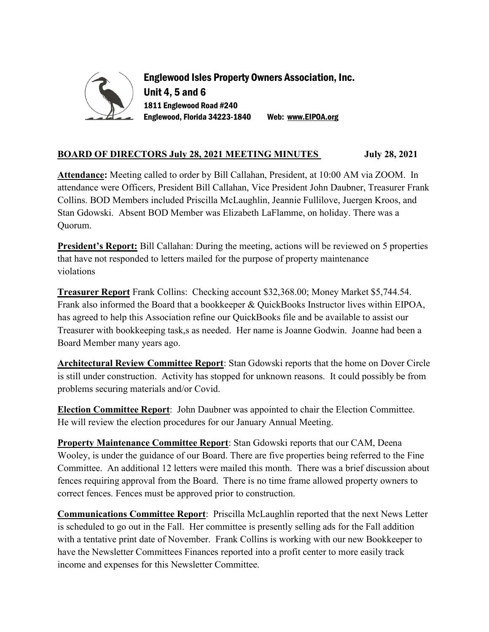

Englewood Isles Property Owners Association, Inc. Unit 4, 5 and 6 1811 Englewood Road #240 Englewood, Florida 34223-1840 Web: www.EIPOA.org

## BOARD OF DIRECTORS July 28, 2021 MEETING MINUTES July 28, 2021

Attendance: Meeting called to order by Bill Callahan, President, at 10:00 AM via ZOOM. In attendance were Officers, President Bill Callahan, Vice President John Daubner, Treasurer Frank Collins. BOD Members included Priscilla McLaughlin, Jeannie Fullilove, Juergen Kroos, and Stan Gdowski. Absent BOD Member was Elizabeth LaFlamme, on holiday. There was a Quorum.

**President's Report:** Bill Callahan: During the meeting, actions will be reviewed on 5 properties that have not responded to letters mailed for the purpose of property maintenance violations

Treasurer Report Frank Collins: Checking account \$32,368.00; Money Market \$5,744.54. Frank also informed the Board that a bookkeeper & QuickBooks Instructor lives within EIPOA, has agreed to help this Association refine our QuickBooks file and be available to assist our Treasurer with bookkeeping task,s as needed. Her name is Joanne Godwin. Joanne had been a Board Member many years ago.

Architectural Review Committee Report: Stan Gdowski reports that the home on Dover Circle is still under construction. Activity has stopped for unknown reasons. It could possibly be from problems securing materials and/or Covid.

Election Committee Report: John Daubner was appointed to chair the Election Committee. He will review the election procedures for our January Annual Meeting.

Property Maintenance Committee Report: Stan Gdowski reports that our CAM, Deena Wooley, is under the guidance of our Board. There are five properties being referred to the Fine Committee. An additional 12 letters were mailed this month. There was a brief discussion about fences requiring approval from the Board. There is no time frame allowed property owners to correct fences. Fences must be approved prior to construction.

Communications Committee Report: Priscilla McLaughlin reported that the next News Letter is scheduled to go out in the Fall. Her committee is presently selling ads for the Fall addition with a tentative print date of November. Frank Collins is working with our new Bookkeeper to have the Newsletter Committees Finances reported into a profit center to more easily track income and expenses for this Newsletter Committee.